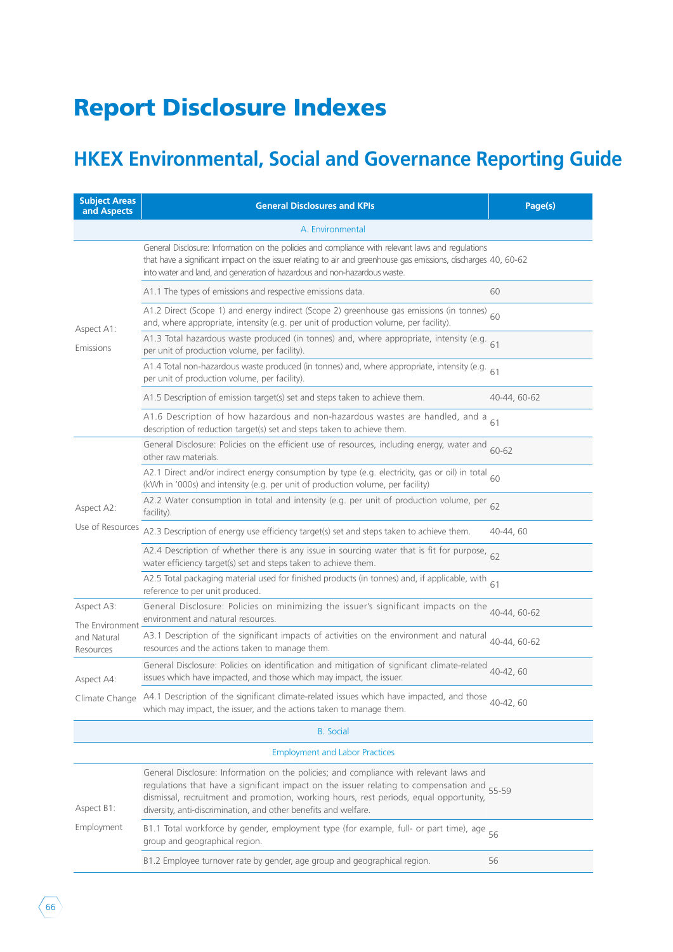# Report Disclosure Indexes

### **HKEX Environmental, Social and Governance Reporting Guide**

| <b>Subject Areas</b><br>and Aspects | <b>General Disclosures and KPIs</b>                                                                                                                                                                                                                                                                                                         | Page(s)      |
|-------------------------------------|---------------------------------------------------------------------------------------------------------------------------------------------------------------------------------------------------------------------------------------------------------------------------------------------------------------------------------------------|--------------|
|                                     | A. Environmental                                                                                                                                                                                                                                                                                                                            |              |
| Aspect A1:                          | General Disclosure: Information on the policies and compliance with relevant laws and regulations<br>that have a significant impact on the issuer relating to air and greenhouse gas emissions, discharges 40, 60-62<br>into water and land, and generation of hazardous and non-hazardous waste.                                           |              |
|                                     | A1.1 The types of emissions and respective emissions data.                                                                                                                                                                                                                                                                                  | 60           |
|                                     | A1.2 Direct (Scope 1) and energy indirect (Scope 2) greenhouse gas emissions (in tonnes)<br>and, where appropriate, intensity (e.g. per unit of production volume, per facility).                                                                                                                                                           | 60           |
| Emissions                           | A1.3 Total hazardous waste produced (in tonnes) and, where appropriate, intensity (e.g. $61$<br>per unit of production volume, per facility).                                                                                                                                                                                               |              |
|                                     | $\overline{A1.4}$ Total non-hazardous waste produced (in tonnes) and, where appropriate, intensity (e.g. 61<br>per unit of production volume, per facility).                                                                                                                                                                                |              |
|                                     | A1.5 Description of emission target(s) set and steps taken to achieve them.                                                                                                                                                                                                                                                                 | 40-44, 60-62 |
|                                     | A1.6 Description of how hazardous and non-hazardous wastes are handled, and a<br>description of reduction target(s) set and steps taken to achieve them.                                                                                                                                                                                    | 61           |
|                                     | General Disclosure: Policies on the efficient use of resources, including energy, water and<br>other raw materials.                                                                                                                                                                                                                         | 60-62        |
|                                     | A2.1 Direct and/or indirect energy consumption by type (e.g. electricity, gas or oil) in total<br>(kWh in '000s) and intensity (e.g. per unit of production volume, per facility)                                                                                                                                                           | 60           |
| Aspect A2:                          | A2.2 Water consumption in total and intensity (e.g. per unit of production volume, per<br>facility).                                                                                                                                                                                                                                        | 62           |
| Use of Resources                    | A2.3 Description of energy use efficiency target(s) set and steps taken to achieve them.                                                                                                                                                                                                                                                    | 40-44, 60    |
|                                     | A2.4 Description of whether there is any issue in sourcing water that is fit for purpose, 62<br>water efficiency target(s) set and steps taken to achieve them.                                                                                                                                                                             |              |
|                                     | A2.5 Total packaging material used for finished products (in tonnes) and, if applicable, with<br>reference to per unit produced.                                                                                                                                                                                                            | 61           |
| Aspect A3:<br>The Environment       | General Disclosure: Policies on minimizing the issuer's significant impacts on the<br>environment and natural resources.                                                                                                                                                                                                                    | 40-44, 60-62 |
| and Natural<br>Resources            | A3.1 Description of the significant impacts of activities on the environment and natural <sub>40-44</sub> , 60-62<br>resources and the actions taken to manage them.                                                                                                                                                                        |              |
| Aspect A4:                          | General Disclosure: Policies on identification and mitigation of significant climate-related<br>issues which have impacted, and those which may impact, the issuer.                                                                                                                                                                         | 40-42.60     |
|                                     | Climate Change A4.1 Description of the significant climate-related issues which have impacted, and those<br>which may impact, the issuer, and the actions taken to manage them.                                                                                                                                                             | 40-42, 60    |
|                                     | <b>B.</b> Social                                                                                                                                                                                                                                                                                                                            |              |
|                                     | <b>Employment and Labor Practices</b>                                                                                                                                                                                                                                                                                                       |              |
| Aspect B1:                          | General Disclosure: Information on the policies; and compliance with relevant laws and<br>regulations that have a significant impact on the issuer relating to compensation and<br>dismissal, recruitment and promotion, working hours, rest periods, equal opportunity,<br>diversity, anti-discrimination, and other benefits and welfare. | 55-59        |
| Employment                          | B1.1 Total workforce by gender, employment type (for example, full- or part time), age 56<br>group and geographical region.                                                                                                                                                                                                                 |              |
|                                     | B1.2 Employee turnover rate by gender, age group and geographical region.                                                                                                                                                                                                                                                                   | 56           |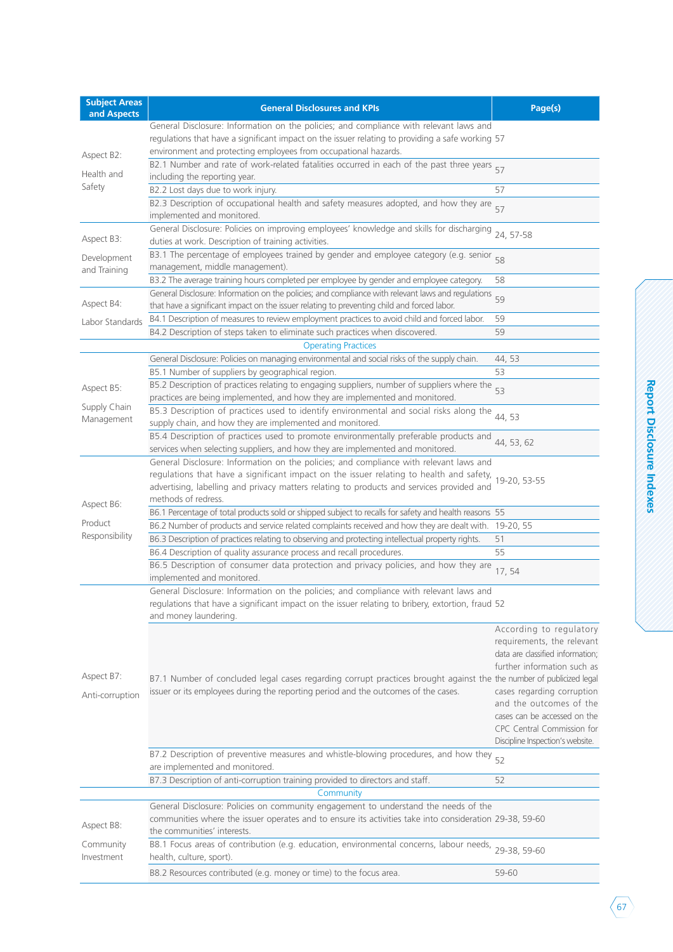| <b>Subject Areas</b><br>and Aspects | <b>General Disclosures and KPIs</b>                                                                                                                                                                                                                                                                   | Page(s)                                                                                                                                                                                                                                                                             |
|-------------------------------------|-------------------------------------------------------------------------------------------------------------------------------------------------------------------------------------------------------------------------------------------------------------------------------------------------------|-------------------------------------------------------------------------------------------------------------------------------------------------------------------------------------------------------------------------------------------------------------------------------------|
|                                     | General Disclosure: Information on the policies; and compliance with relevant laws and<br>regulations that have a significant impact on the issuer relating to providing a safe working 57<br>environment and protecting employees from occupational hazards.                                         |                                                                                                                                                                                                                                                                                     |
| Aspect B2:<br>Health and            | B2.1 Number and rate of work-related fatalities occurred in each of the past three years 57<br>including the reporting year.                                                                                                                                                                          |                                                                                                                                                                                                                                                                                     |
| Safety                              | B2.2 Lost days due to work injury.                                                                                                                                                                                                                                                                    | 57                                                                                                                                                                                                                                                                                  |
|                                     | B2.3 Description of occupational health and safety measures adopted, and how they are<br>implemented and monitored.                                                                                                                                                                                   | 57                                                                                                                                                                                                                                                                                  |
| Aspect B3:                          | General Disclosure: Policies on improving employees' knowledge and skills for discharging 24, 57-58<br>duties at work. Description of training activities.                                                                                                                                            |                                                                                                                                                                                                                                                                                     |
| Development<br>and Training         | B3.1 The percentage of employees trained by gender and employee category (e.g. senior 58<br>management, middle management).                                                                                                                                                                           |                                                                                                                                                                                                                                                                                     |
|                                     | B3.2 The average training hours completed per employee by gender and employee category.                                                                                                                                                                                                               | 58                                                                                                                                                                                                                                                                                  |
| Aspect B4:                          | General Disclosure: Information on the policies; and compliance with relevant laws and regulations<br>that have a significant impact on the issuer relating to preventing child and forced labor.                                                                                                     | 59                                                                                                                                                                                                                                                                                  |
| Labor Standards                     | B4.1 Description of measures to review employment practices to avoid child and forced labor.                                                                                                                                                                                                          | 59                                                                                                                                                                                                                                                                                  |
|                                     | B4.2 Description of steps taken to eliminate such practices when discovered.                                                                                                                                                                                                                          | 59                                                                                                                                                                                                                                                                                  |
|                                     | <b>Operating Practices</b>                                                                                                                                                                                                                                                                            |                                                                                                                                                                                                                                                                                     |
|                                     | General Disclosure: Policies on managing environmental and social risks of the supply chain.                                                                                                                                                                                                          | 44, 53                                                                                                                                                                                                                                                                              |
|                                     | B5.1 Number of suppliers by geographical region.                                                                                                                                                                                                                                                      | 53                                                                                                                                                                                                                                                                                  |
| Aspect B5:                          | B5.2 Description of practices relating to engaging suppliers, number of suppliers where the<br>practices are being implemented, and how they are implemented and monitored.                                                                                                                           | 53                                                                                                                                                                                                                                                                                  |
| Supply Chain<br>Management          | B5.3 Description of practices used to identify environmental and social risks along the <sub>44, 53</sub><br>supply chain, and how they are implemented and monitored.                                                                                                                                |                                                                                                                                                                                                                                                                                     |
|                                     | B5.4 Description of practices used to promote environmentally preferable products and<br>services when selecting suppliers, and how they are implemented and monitored.                                                                                                                               | 44, 53, 62                                                                                                                                                                                                                                                                          |
|                                     | General Disclosure: Information on the policies; and compliance with relevant laws and<br>regulations that have a significant impact on the issuer relating to health and safety,<br>advertising, labelling and privacy matters relating to products and services provided and<br>methods of redress. | 19-20, 53-55                                                                                                                                                                                                                                                                        |
| Aspect B6:                          | B6.1 Percentage of total products sold or shipped subject to recalls for safety and health reasons 55                                                                                                                                                                                                 |                                                                                                                                                                                                                                                                                     |
| Product                             | B6.2 Number of products and service related complaints received and how they are dealt with. 19-20, 55                                                                                                                                                                                                |                                                                                                                                                                                                                                                                                     |
| Responsibility                      | B6.3 Description of practices relating to observing and protecting intellectual property rights.                                                                                                                                                                                                      | 51                                                                                                                                                                                                                                                                                  |
|                                     | B6.4 Description of quality assurance process and recall procedures.                                                                                                                                                                                                                                  | 55                                                                                                                                                                                                                                                                                  |
|                                     | B6.5 Description of consumer data protection and privacy policies, and how they are<br>implemented and monitored.                                                                                                                                                                                     | 17,54                                                                                                                                                                                                                                                                               |
|                                     | General Disclosure: Information on the policies; and compliance with relevant laws and<br>regulations that have a significant impact on the issuer relating to bribery, extortion, fraud 52<br>and money laundering.                                                                                  |                                                                                                                                                                                                                                                                                     |
| Aspect B7:<br>Anti-corruption       | B7.1 Number of concluded legal cases regarding corrupt practices brought against the the number of publicized legal<br>issuer or its employees during the reporting period and the outcomes of the cases.                                                                                             | According to regulatory<br>requirements, the relevant<br>data are classified information;<br>further information such as<br>cases regarding corruption<br>and the outcomes of the<br>cases can be accessed on the<br>CPC Central Commission for<br>Discipline Inspection's website. |
|                                     | B7.2 Description of preventive measures and whistle-blowing procedures, and how they<br>are implemented and monitored.                                                                                                                                                                                | 52                                                                                                                                                                                                                                                                                  |
|                                     | B7.3 Description of anti-corruption training provided to directors and staff.                                                                                                                                                                                                                         | 52                                                                                                                                                                                                                                                                                  |
|                                     | Community                                                                                                                                                                                                                                                                                             |                                                                                                                                                                                                                                                                                     |
| Aspect B8:                          | General Disclosure: Policies on community engagement to understand the needs of the<br>communities where the issuer operates and to ensure its activities take into consideration 29-38, 59-60<br>the communities' interests.                                                                         |                                                                                                                                                                                                                                                                                     |
| Community<br>Investment             | B8.1 Focus areas of contribution (e.g. education, environmental concerns, labour needs,<br>health, culture, sport).                                                                                                                                                                                   | 29-38, 59-60                                                                                                                                                                                                                                                                        |
|                                     | B8.2 Resources contributed (e.g. money or time) to the focus area.                                                                                                                                                                                                                                    | 59-60                                                                                                                                                                                                                                                                               |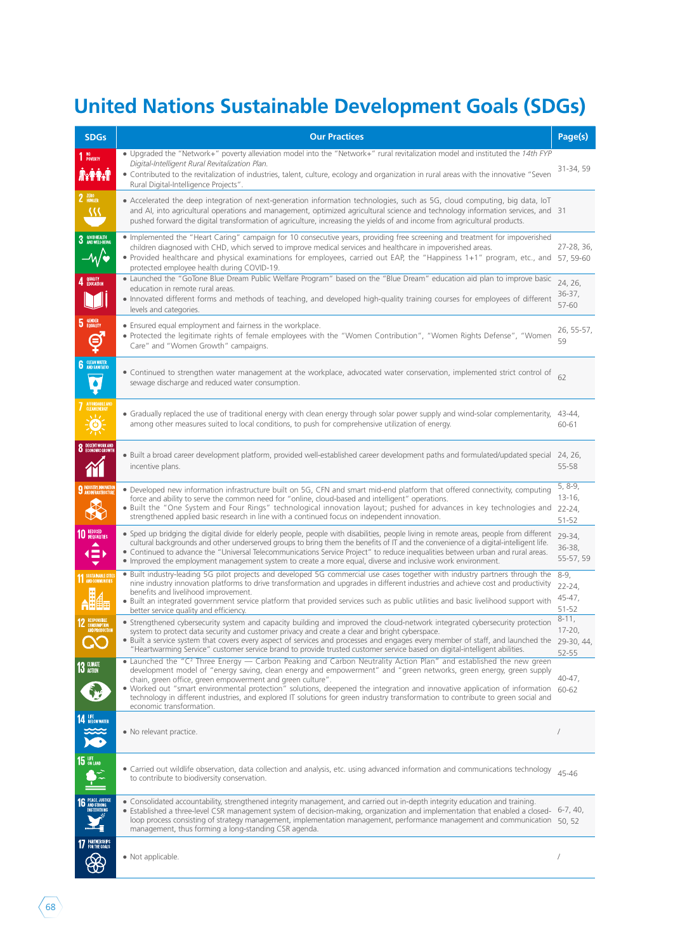## **United Nations Sustainable Development Goals (SDGs)**

| <b>SDGs</b>                                        | <b>Our Practices</b>                                                                                                                                                                                                                                                                                                                                                                                                                                                                                                                                                                                                    | Page(s)                                  |
|----------------------------------------------------|-------------------------------------------------------------------------------------------------------------------------------------------------------------------------------------------------------------------------------------------------------------------------------------------------------------------------------------------------------------------------------------------------------------------------------------------------------------------------------------------------------------------------------------------------------------------------------------------------------------------------|------------------------------------------|
| 1 NO <sub>POVERTY</sub><br>₩¥₩                     | • Upgraded the "Network+" poverty alleviation model into the "Network+" rural revitalization model and instituted the 14th FYP<br>Digital-Intelligent Rural Revitalization Plan.<br>• Contributed to the revitalization of industries, talent, culture, ecology and organization in rural areas with the innovative "Seven<br>Rural Digital-Intelligence Projects".                                                                                                                                                                                                                                                     | 31-34, 59                                |
| 2 ZERO<br>38                                       | • Accelerated the deep integration of next-generation information technologies, such as 5G, cloud computing, big data, IoT<br>and AI, into agricultural operations and management, optimized agricultural science and technology information services, and 31<br>pushed forward the digital transformation of agriculture, increasing the yields of and income from agricultural products.                                                                                                                                                                                                                              |                                          |
| 3 GOOD HEALTH<br>$-M\ddot{ }$                      | • Implemented the "Heart Caring" campaign for 10 consecutive years, providing free screening and treatment for impoverished<br>children diagnosed with CHD, which served to improve medical services and healthcare in impoverished areas.<br>• Provided healthcare and physical examinations for employees, carried out EAP, the "Happiness 1+1" program, etc., and<br>protected employee health during COVID-19.                                                                                                                                                                                                      | 27-28, 36,<br>57, 59-60                  |
| 4 QUALITY                                          | • Launched the "GoTone Blue Dream Public Welfare Program" based on the "Blue Dream" education aid plan to improve basic<br>education in remote rural areas.<br>. Innovated different forms and methods of teaching, and developed high-quality training courses for employees of different<br>levels and categories.                                                                                                                                                                                                                                                                                                    | 24, 26,<br>$36-37,$<br>57-60             |
| <b>GENDER</b><br>EQUALITY<br>ę                     | • Ensured equal employment and fairness in the workplace.<br>• Protected the legitimate rights of female employees with the "Women Contribution", "Women Rights Defense", "Women<br>Care" and "Women Growth" campaigns.                                                                                                                                                                                                                                                                                                                                                                                                 | 26, 55-57,<br>59                         |
| <b>6</b> CLEAN WATER<br>٠                          | • Continued to strengthen water management at the workplace, advocated water conservation, implemented strict control of<br>sewage discharge and reduced water consumption.                                                                                                                                                                                                                                                                                                                                                                                                                                             | 62                                       |
| AFFORDABLE AND<br>CLEAN ENERGY<br>ALA<br>(ပ)-      | • Gradually replaced the use of traditional energy with clean energy through solar power supply and wind-solar complementarity,<br>among other measures suited to local conditions, to push for comprehensive utilization of energy.                                                                                                                                                                                                                                                                                                                                                                                    | 43-44,<br>60-61                          |
| DECENT WORK AND<br>ECONOMIC GROWTH                 | • Built a broad career development platform, provided well-established career development paths and formulated/updated special 24, 26,<br>incentive plans.                                                                                                                                                                                                                                                                                                                                                                                                                                                              | 55-58                                    |
| 9 INDUSTRY, INNOVATION                             | • Developed new information infrastructure built on 5G, CFN and smart mid-end platform that offered connectivity, computing<br>force and ability to serve the common need for "online, cloud-based and intelligent" operations.<br>. Built the "One System and Four Rings" technological innovation layout; pushed for advances in key technologies and 22-24,<br>strengthened applied basic research in line with a continued focus on independent innovation.                                                                                                                                                         | 5, 8-9,<br>$13 - 16$<br>51-52            |
| <b>10 REDUCED</b><br>$\left( \equiv \right)$       | • Sped up bridging the digital divide for elderly people, people with disabilities, people living in remote areas, people from different<br>cultural backgrounds and other underserved groups to bring them the benefits of IT and the convenience of a digital-intelligent life.<br>. Continued to advance the "Universal Telecommunications Service Project" to reduce inequalities between urban and rural areas.<br>• Improved the employment management system to create a more equal, diverse and inclusive work environment.                                                                                     | 29-34,<br>$36 - 38,$<br>55-57, 59        |
| <b>11 SUSTAINABLE CITTE</b>                        | • Built industry-leading 5G pilot projects and developed 5G commercial use cases together with industry partners through the<br>nine industry innovation platforms to drive transformation and upgrades in different industries and achieve cost and productivity<br>benefits and livelihood improvement.<br>• Built an integrated government service platform that provided services such as public utilities and basic livelihood support with<br>better service quality and efficiency.                                                                                                                              | $8-9,$<br>$22 - 24$ .<br>45-47,<br>51-52 |
| <b>2 RESPONSIBLE</b>                               | • Strengthened cybersecurity system and capacity building and improved the cloud-network integrated cybersecurity protection<br>system to protect data security and customer privacy and create a clear and bright cyberspace.<br>. Built a service system that covers every aspect of services and processes and engages every member of staff, and launched the 29-30, 44,<br>"Heartwarming Service" customer service brand to provide trusted customer service based on digital-intelligent abilities.                                                                                                               | $8 - 11,$<br>$17 - 20$ ,<br>52-55        |
| 13 CLIMATE                                         | • Launched the "C <sup>2</sup> Three Energy — Carbon Peaking and Carbon Neutrality Action Plan" and established the new green<br>development model of "energy saving, clean energy and empowerment" and "green networks, green energy, green supply<br>chain, green office, green empowerment and green culture".<br>. Worked out "smart environmental protection" solutions, deepened the integration and innovative application of information 60-62<br>technology in different industries, and explored IT solutions for green industry transformation to contribute to green social and<br>economic transformation. | 40-47,                                   |
| <b>14 LEE</b> BELOW WATER<br>$\sum_{i=1}^{\infty}$ | • No relevant practice.                                                                                                                                                                                                                                                                                                                                                                                                                                                                                                                                                                                                 |                                          |
| $15\;\substack{\text{if }0\text{N LAND}}}$         | • Carried out wildlife observation, data collection and analysis, etc. using advanced information and communications technology<br>to contribute to biodiversity conservation.                                                                                                                                                                                                                                                                                                                                                                                                                                          | 45-46                                    |
| PEACE, JUSTICE<br>AND STRONG<br>INSTITUTIONS       | • Consolidated accountability, strengthened integrity management, and carried out in-depth integrity education and training.<br>. Established a three-level CSR management system of decision-making, organization and implementation that enabled a closed- 6-7, 40,<br>loop process consisting of strategy management, implementation management, performance management and communication 50, 52<br>management, thus forming a long-standing CSR agenda.                                                                                                                                                             |                                          |
| <b>17</b> PARTNERSHIPS<br>90                       | • Not applicable.                                                                                                                                                                                                                                                                                                                                                                                                                                                                                                                                                                                                       |                                          |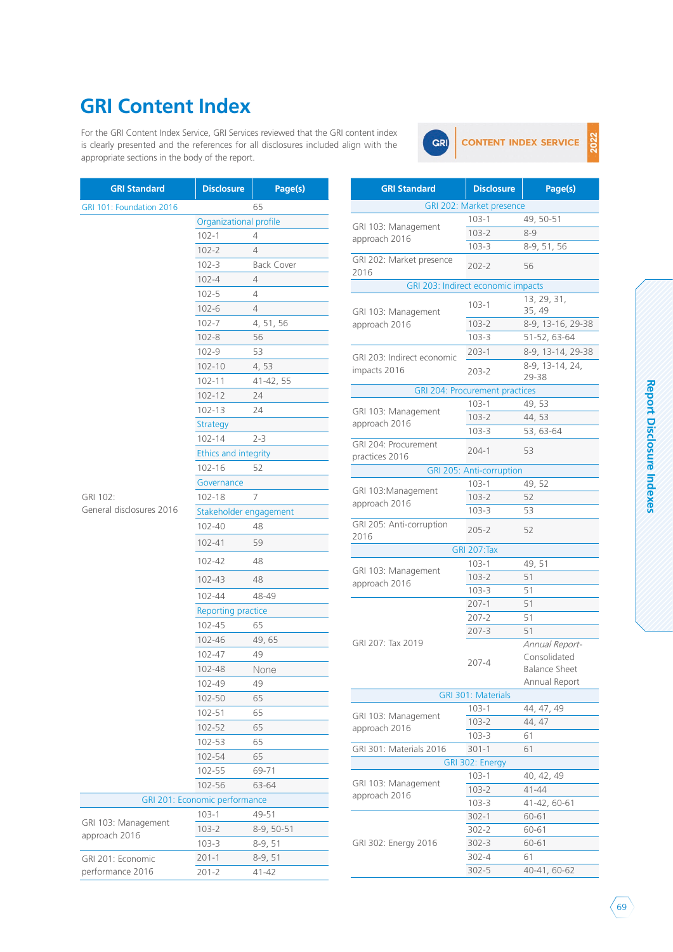#### **GRI Content Index**

For the GRI Content Index Service, GRI Services reviewed that the GRI content index is clearly presented and the references for all disclosures included align with the appropriate sections in the body of the report.



022

| ļ |  |
|---|--|
|   |  |
|   |  |
| i |  |
|   |  |
| İ |  |
|   |  |
|   |  |
|   |  |
|   |  |
|   |  |
|   |  |
|   |  |

| <b>GRI Standard</b>                  | <b>Disclosure</b>             | Page(s)           | <b>GRI Standard</b>                  | <b>Disclosure</b>                            | Page(s)                             |
|--------------------------------------|-------------------------------|-------------------|--------------------------------------|----------------------------------------------|-------------------------------------|
| GRI 101: Foundation 2016             |                               | 65                |                                      | GRI 202: Market presence                     |                                     |
|                                      | Organizational profile        |                   |                                      | $103 - 1$                                    | 49, 50-51                           |
|                                      | $102 - 1$                     | 4                 | GRI 103: Management<br>approach 2016 | $103 - 2$                                    | $8 - 9$                             |
|                                      | $102 - 2$                     | $\overline{4}$    |                                      | $103 - 3$                                    | 8-9, 51, 56                         |
|                                      | $102 - 3$                     | <b>Back Cover</b> | GRI 202: Market presence             | $202 - 2$                                    | 56                                  |
|                                      | $102 - 4$                     | 4                 | 2016                                 |                                              |                                     |
|                                      | $102 - 5$                     | 4                 |                                      | GRI 203: Indirect economic impacts           |                                     |
|                                      | $102 - 6$                     | $\overline{4}$    |                                      | $103 - 1$                                    | 13, 29, 31,<br>35, 49               |
|                                      | $102 - 7$                     | 4, 51, 56         | GRI 103: Management<br>approach 2016 | $103 - 2$                                    | 8-9, 13-16, 2                       |
|                                      | $102 - 8$                     | 56                |                                      | $103 - 3$                                    | 51-52, 63-64                        |
|                                      | $102 - 9$                     | 53                |                                      | $203 - 1$                                    | 8-9, 13-14, 2                       |
|                                      | $102 - 10$                    | 4,53              | GRI 203: Indirect economic           |                                              | 8-9, 13-14, 2                       |
|                                      | $102 - 11$                    | 41-42, 55         | impacts 2016                         | $203 - 2$                                    | 29-38                               |
|                                      | $102 - 12$                    | 24                |                                      | GRI 204: Procurement practices               |                                     |
|                                      | 102-13                        | 24                | GRI 103: Management                  | $103 - 1$                                    | 49,53                               |
|                                      | <b>Strategy</b>               |                   | approach 2016                        | $103 - 2$                                    | 44,53                               |
|                                      | $102 - 14$                    | $2 - 3$           |                                      | $103 - 3$                                    | 53, 63-64                           |
|                                      | Ethics and integrity          |                   | GRI 204: Procurement                 | $204-1$                                      | 53                                  |
|                                      | 102-16                        | 52                | practices 2016                       |                                              |                                     |
|                                      | Governance                    |                   |                                      | <b>GRI 205: Anti-corruption</b><br>$103 - 1$ | 49,52                               |
| GRI 102:                             | 102-18                        | 7                 | GRI 103:Management                   | $103 - 2$                                    | 52                                  |
| General disclosures 2016             | Stakeholder engagement        |                   | approach 2016                        | $103 - 3$                                    | 53                                  |
|                                      | 102-40                        | 48                | GRI 205: Anti-corruption             |                                              |                                     |
|                                      |                               |                   | 2016                                 | $205 - 2$                                    | 52                                  |
|                                      | 102-41                        | 59                |                                      | <b>GRI 207:Tax</b>                           |                                     |
|                                      | 102-42                        | 48                |                                      | $103 - 1$                                    | 49, 51                              |
|                                      | 102-43                        | 48                | GRI 103: Management<br>approach 2016 | $103 - 2$                                    | 51                                  |
|                                      | 102-44                        | 48-49             |                                      | $103 - 3$                                    | 51                                  |
|                                      | Reporting practice            |                   |                                      | $207-1$                                      | 51                                  |
|                                      | 102-45                        | 65                |                                      | $207 - 2$                                    | 51                                  |
|                                      | 102-46                        | 49,65             |                                      | $207 - 3$                                    | 51                                  |
|                                      | 102-47                        | 49                | GRI 207: Tax 2019                    |                                              | Annual Repor                        |
|                                      |                               |                   |                                      | $207 - 4$                                    | Consolidated<br><b>Balance Shee</b> |
|                                      | 102-48                        | None              |                                      |                                              | Annual Repor                        |
|                                      | 102-49                        | 49                |                                      | GRI 301: Materials                           |                                     |
|                                      | 102-50                        | 65                |                                      | $103 - 1$                                    | 44, 47, 49                          |
|                                      | 102-51                        | 65                | GRI 103: Management                  | $103 - 2$                                    | 44, 47                              |
|                                      | 102-52                        | 65                | approach 2016                        | $103 - 3$                                    | 61                                  |
|                                      | 102-53                        | 65                | GRI 301: Materials 2016              | $301 - 1$                                    | 61                                  |
|                                      | 102-54                        | 65                |                                      | GRI 302: Energy                              |                                     |
|                                      | 102-55                        | 69-71             |                                      | $103 - 1$                                    | 40, 42, 49                          |
|                                      | 102-56                        | 63-64             | GRI 103: Management                  | $103 - 2$                                    | 41-44                               |
|                                      | GRI 201: Economic performance |                   | approach 2016                        | $103 - 3$                                    | 41-42, 60-61                        |
|                                      | $103 - 1$                     | 49-51             |                                      | $302 - 1$                                    | 60-61                               |
| GRI 103: Management<br>approach 2016 | $103 - 2$                     | 8-9, 50-51        |                                      | $302 - 2$                                    | 60-61                               |
|                                      | $103 - 3$                     | $8-9,51$          | GRI 302: Energy 2016                 | $302 - 3$                                    | 60-61                               |
| GRI 201: Economic                    | $201 - 1$                     | $8-9,51$          |                                      | $302 - 4$                                    | 61                                  |
| performance 2016                     | $201 - 2$                     | 41-42             |                                      | $302 - 5$                                    | 40-41, 60-62                        |
|                                      |                               |                   |                                      |                                              |                                     |

| GRI 103: Management                        | $103 - 2$                             | $8 - 9$                                                                 |
|--------------------------------------------|---------------------------------------|-------------------------------------------------------------------------|
| approach 2016                              | $103 - 3$                             | 8-9, 51, 56                                                             |
| GRI 202: Market presence<br>2016           | $202 - 2$                             | 56                                                                      |
| GRI 203: Indirect economic impacts         |                                       |                                                                         |
| GRI 103: Management                        | $103 - 1$                             | 13, 29, 31,<br>35, 49                                                   |
| approach 2016                              | $103 - 2$                             | 8-9, 13-16, 29-38                                                       |
|                                            | $103 - 3$                             | 51-52, 63-64                                                            |
|                                            | $203 - 1$                             | 8-9, 13-14, 29-38                                                       |
| GRI 203: Indirect economic<br>impacts 2016 | 203-2                                 | 8-9, 13-14, 24,<br>29-38                                                |
|                                            | <b>GRI 204: Procurement practices</b> |                                                                         |
|                                            | $103 - 1$                             | 49, 53                                                                  |
| GRI 103: Management<br>approach 2016       | $103 - 2$                             | 44,53                                                                   |
|                                            | 103-3                                 | 53, 63-64                                                               |
| GRI 204: Procurement<br>practices 2016     | $204 - 1$                             | 53                                                                      |
|                                            | GRI 205: Anti-corruption              |                                                                         |
|                                            | $103 - 1$                             | 49, 52                                                                  |
| GRI 103:Management                         | $103 - 2$                             | 52                                                                      |
| approach 2016                              | $103 - 3$                             | 53                                                                      |
| GRI 205: Anti-corruption<br>2016           | 205-2                                 | 52                                                                      |
|                                            | <b>GRI 207:Tax</b>                    |                                                                         |
|                                            | $103 - 1$                             | 49, 51                                                                  |
| GRI 103: Management<br>approach 2016       | $103 - 2$                             | 51                                                                      |
|                                            | $103 - 3$                             | 51                                                                      |
|                                            | $207 - 1$                             | 51                                                                      |
|                                            | $207 - 2$                             | 51                                                                      |
|                                            | 207-3                                 | 51                                                                      |
| GRI 207: Tax 2019                          | 207-4                                 | Annual Report-<br>Consolidated<br><b>Balance Sheet</b><br>Annual Report |
|                                            | <b>GRI 301: Materials</b>             |                                                                         |
| GRI 103: Management                        | $103 - 1$                             | 44, 47, 49                                                              |
| approach 2016                              | $103 - 2$                             | 44, 47                                                                  |
|                                            | 103-3                                 | 61                                                                      |
| GRI 301: Materials 2016                    | $301 - 1$                             | 61                                                                      |
|                                            | GRI 302: Energy                       |                                                                         |
| GRI 103: Management                        | $103 - 1$                             | 40, 42, 49                                                              |
| approach 2016                              | $103 - 2$                             | 41-44                                                                   |
|                                            | 103-3                                 | 41-42, 60-61                                                            |
|                                            | $302 - 1$                             | 60-61                                                                   |
|                                            | 302-2                                 | 60-61                                                                   |
| GRI 302: Energy 2016                       | $302 - 3$                             | 60-61                                                                   |
|                                            | 302-4                                 | 61                                                                      |
|                                            | $302 - 5$                             | 40-41, 60-62                                                            |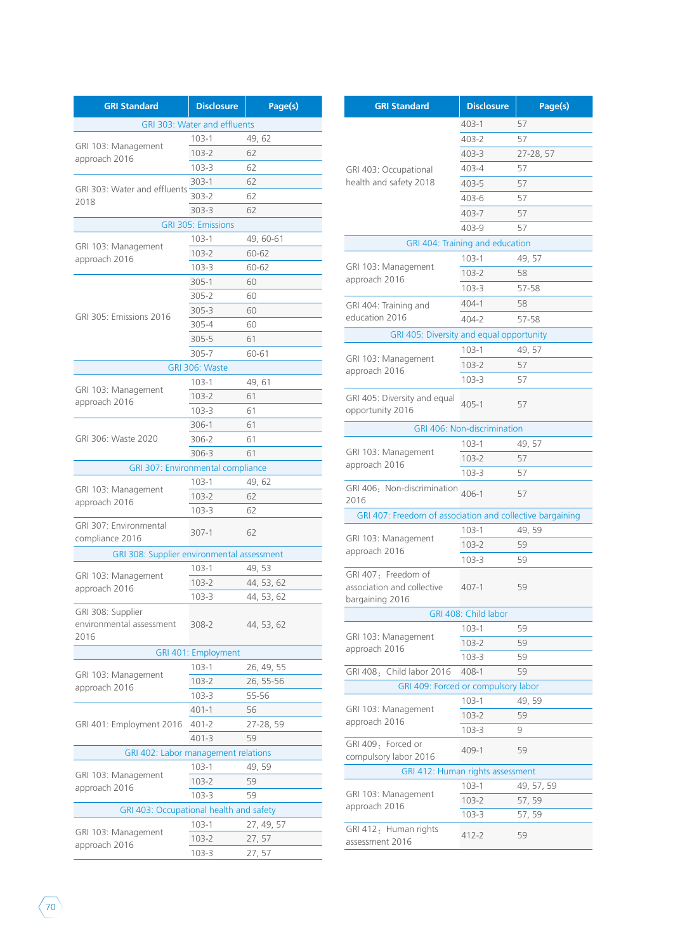| <b>GRI Standard</b>                                   | <b>Disclosure</b>            | Page(s)    |  |  |  |  |
|-------------------------------------------------------|------------------------------|------------|--|--|--|--|
|                                                       | GRI 303: Water and effluents |            |  |  |  |  |
|                                                       | $103 - 1$                    | 49, 62     |  |  |  |  |
| GRI 103: Management                                   | $103 - 2$                    | 62         |  |  |  |  |
| approach 2016                                         | $103 - 3$                    | 62         |  |  |  |  |
|                                                       | $303 - 1$                    | 62         |  |  |  |  |
| GRI 303: Water and effluents                          | 303-2                        | 62         |  |  |  |  |
| 2018                                                  | $303 - 3$                    | 62         |  |  |  |  |
| <b>GRI 305: Emissions</b>                             |                              |            |  |  |  |  |
|                                                       | 103-1                        | 49, 60-61  |  |  |  |  |
| GRI 103: Management                                   | $103 - 2$                    | 60-62      |  |  |  |  |
| approach 2016                                         | 103-3                        | 60-62      |  |  |  |  |
|                                                       | $305 - 1$                    | 60         |  |  |  |  |
|                                                       | 305-2                        | 60         |  |  |  |  |
|                                                       | 305-3                        | 60         |  |  |  |  |
| GRI 305: Emissions 2016                               | 305-4                        | 60         |  |  |  |  |
|                                                       | 305-5                        | 61         |  |  |  |  |
|                                                       | $305 - 7$                    | 60-61      |  |  |  |  |
|                                                       | GRI 306: Waste               |            |  |  |  |  |
|                                                       | $103 - 1$                    | 49,61      |  |  |  |  |
| GRI 103: Management                                   | $103 - 2$                    | 61         |  |  |  |  |
| approach 2016                                         | $103 - 3$                    | 61         |  |  |  |  |
|                                                       | 306-1                        | 61         |  |  |  |  |
| GRI 306: Waste 2020                                   | 306-2                        | 61         |  |  |  |  |
|                                                       | 306-3                        | 61         |  |  |  |  |
| GRI 307: Environmental compliance                     |                              |            |  |  |  |  |
|                                                       | $103 - 1$                    | 49,62      |  |  |  |  |
| GRI 103: Management                                   | $103 - 2$                    | 62         |  |  |  |  |
| approach 2016                                         | $103 - 3$                    | 62         |  |  |  |  |
| GRI 307: Environmental                                | 307-1                        | 62         |  |  |  |  |
| compliance 2016                                       |                              |            |  |  |  |  |
| GRI 308: Supplier environmental assessment            |                              |            |  |  |  |  |
| GRI 103: Management                                   | $103 - 1$                    | 49, 53     |  |  |  |  |
| approach 2016                                         | $103 - 2$                    | 44, 53, 62 |  |  |  |  |
|                                                       | $103 - 3$                    | 44, 53, 62 |  |  |  |  |
| GRI 308: Supplier<br>environmental assessment<br>2016 | 308-2                        | 44, 53, 62 |  |  |  |  |
|                                                       | GRI 401: Employment          |            |  |  |  |  |
|                                                       | 103-1                        | 26, 49, 55 |  |  |  |  |
| GRI 103: Management                                   | 103-2                        | 26, 55-56  |  |  |  |  |
| approach 2016                                         | $103 - 3$                    | 55-56      |  |  |  |  |
|                                                       | 401-1                        | 56         |  |  |  |  |
| GRI 401: Employment 2016                              | $401 - 2$                    | 27-28, 59  |  |  |  |  |
|                                                       | $401 - 3$                    | 59         |  |  |  |  |
| GRI 402: Labor management relations                   |                              |            |  |  |  |  |
|                                                       | 103-1                        | 49, 59     |  |  |  |  |
| GRI 103: Management                                   | 103-2                        | 59         |  |  |  |  |
| approach 2016                                         | $103 - 3$                    | 59         |  |  |  |  |
| GRI 403: Occupational health and safety               |                              |            |  |  |  |  |
|                                                       | $103 - 1$                    | 27, 49, 57 |  |  |  |  |
| GRI 103: Management                                   | 103-2                        | 27, 57     |  |  |  |  |
| approach 2016                                         | 103-3                        | 27, 57     |  |  |  |  |

| <b>GRI Standard</b>                        | <b>Disclosure</b>                   | Page(s)                 | <b>GRI Standard</b>                         | <b>Disclosure</b>                                         | Page(s)    |                      |  |
|--------------------------------------------|-------------------------------------|-------------------------|---------------------------------------------|-----------------------------------------------------------|------------|----------------------|--|
|                                            | <b>GRI 303: Water and effluents</b> |                         |                                             | $403 - 1$                                                 | 57         |                      |  |
|                                            | $103 - 1$                           | 49, 62                  |                                             | 403-2                                                     | 57         |                      |  |
| 3: Management                              | $103 - 2$                           | 62                      |                                             | $403 - 3$                                                 | 27-28, 57  |                      |  |
| ch 2016                                    | $103 - 3$                           | 62                      | GRI 403: Occupational                       | 403-4                                                     | 57         |                      |  |
|                                            | $303 - 1$                           | 62                      | health and safety 2018                      | $403 - 5$                                                 | 57         |                      |  |
| 3: Water and effluents                     | $303 - 2$                           | 62                      |                                             | 403-6                                                     | 57         |                      |  |
|                                            | $303 - 3$                           | 62                      |                                             | 403-7                                                     | 57         |                      |  |
|                                            | <b>GRI 305: Emissions</b>           |                         |                                             | 403-9                                                     | 57         |                      |  |
|                                            | $103-1$                             | 49, 60-61               |                                             | GRI 404: Training and education                           |            |                      |  |
| 3: Management<br>ch 2016                   | $103 - 2$                           | 60-62                   |                                             | $103 - 1$                                                 | 49, 57     |                      |  |
|                                            | $103 - 3$                           | 60-62                   | GRI 103: Management                         | $103 - 2$                                                 | 58         |                      |  |
|                                            | $305 - 1$                           | 60                      | approach 2016                               | $103 - 3$                                                 | 57-58      |                      |  |
|                                            | $305 - 2$                           | 60                      |                                             |                                                           |            |                      |  |
| $5:$ Emissions 2016                        | $305 - 3$                           | 60                      | GRI 404: Training and<br>education 2016     | $404 - 1$                                                 | 58         |                      |  |
|                                            | 305-4                               | 60                      |                                             | $404 - 2$                                                 | 57-58      |                      |  |
|                                            | $305 - 5$                           | 61                      | GRI 405: Diversity and equal opportunity    |                                                           |            |                      |  |
|                                            | $305 - 7$                           | 60-61                   | GRI 103: Management                         | $103 - 1$                                                 | 49, 57     |                      |  |
|                                            | GRI 306: Waste                      |                         | approach 2016                               | $103 - 2$                                                 | 57         |                      |  |
|                                            | $103 - 1$                           | 49, 61                  |                                             | $103 - 3$                                                 | 57         |                      |  |
| 3: Management<br>ch 2016                   | $103 - 2$                           | 61                      | GRI 405: Diversity and equal                |                                                           |            |                      |  |
|                                            | $103 - 3$                           | 61                      | opportunity 2016                            | $405 - 1$                                                 | 57         |                      |  |
|                                            | $306-1$                             | 61                      |                                             | GRI 406: Non-discrimination                               |            |                      |  |
| 5: Waste 2020                              | 306-2                               | 61                      |                                             | $103 - 1$                                                 | 49, 57     |                      |  |
|                                            | 306-3                               | 61                      | GRI 103: Management                         | $103 - 2$                                                 | 57         |                      |  |
| GRI 307: Environmental compliance          |                                     |                         | approach 2016                               | $103 - 3$                                                 | 57         |                      |  |
| 3: Management                              | $103-1$                             | 49, 62                  | GRI 406: Non-discrimination                 |                                                           |            |                      |  |
| ch 2016                                    | $103 - 2$                           | 62                      | 2016                                        | $406 - 1$                                                 | 57         |                      |  |
|                                            | $103 - 3$                           | 62                      |                                             | GRI 407: Freedom of association and collective bargaining |            |                      |  |
| <sup>7</sup> : Environmental               | $307-1$                             | 62                      |                                             | $103-1$                                                   | 49, 59     |                      |  |
| ince 2016                                  |                                     |                         | GRI 103: Management                         | $103 - 2$                                                 | 59         |                      |  |
| GRI 308: Supplier environmental assessment |                                     |                         | approach 2016                               | $103 - 3$                                                 | 59         |                      |  |
| 8: Management                              | $103 - 1$                           | 49, 53                  | GRI 407: Freedom of                         |                                                           |            |                      |  |
| ch 2016                                    | $103 - 2$                           | 44, 53, 62              | association and collective                  | $407 - 1$                                                 | 59         |                      |  |
|                                            | $103 - 3$                           | 44, 53, 62              | bargaining 2016                             |                                                           |            |                      |  |
| 3: Supplier                                |                                     |                         |                                             |                                                           |            | GRI 408: Child labor |  |
| mental assessment                          | $308 - 2$                           | 44, 53, 62              | GRI 103: Management                         | $103 - 1$                                                 | 59         |                      |  |
|                                            | GRI 401: Employment                 |                         | approach 2016                               | $103 - 2$                                                 | 59         |                      |  |
|                                            | $103 - 1$                           |                         |                                             | $103 - 3$                                                 | 59         |                      |  |
| 3: Management                              | $103 - 2$                           | 26, 49, 55<br>26, 55-56 | GRI 408: Child labor 2016                   | 408-1                                                     | 59         |                      |  |
| ch 2016                                    | $103 - 3$                           | 55-56                   | GRI 409: Forced or compulsory labor         |                                                           |            |                      |  |
|                                            | $401 - 1$                           | 56                      | GRI 103: Management                         | $103 - 1$                                                 | 49, 59     |                      |  |
| I: Employment 2016                         | $401 - 2$                           | 27-28, 59               | approach 2016                               | $103 - 2$                                                 | 59         |                      |  |
|                                            | $401 - 3$                           | 59                      |                                             | $103 - 3$                                                 | 9          |                      |  |
| GRI 402: Labor management relations        |                                     |                         | GRI 409: Forced or<br>compulsory labor 2016 | $409 - 1$                                                 | 59         |                      |  |
|                                            | $103 - 1$                           | 49, 59                  | GRI 412: Human rights assessment            |                                                           |            |                      |  |
| 3: Management<br>ch 2016                   | $103 - 2$                           | 59                      |                                             | $103 - 1$                                                 | 49, 57, 59 |                      |  |
|                                            | $103 - 3$                           | 59                      | GRI 103: Management                         | $103 - 2$                                                 | 57, 59     |                      |  |
| GRI 403: Occupational health and safety    |                                     |                         | approach 2016                               | $103 - 3$                                                 | 57, 59     |                      |  |
|                                            | $103 - 1$                           | 27, 49, 57              | GRI 412: Human rights                       |                                                           |            |                      |  |
| 3: Management<br>ch 2016                   | $103 - 2$                           | 27, 57                  | assessment 2016                             | 412-2                                                     | 59         |                      |  |
|                                            |                                     |                         |                                             |                                                           |            |                      |  |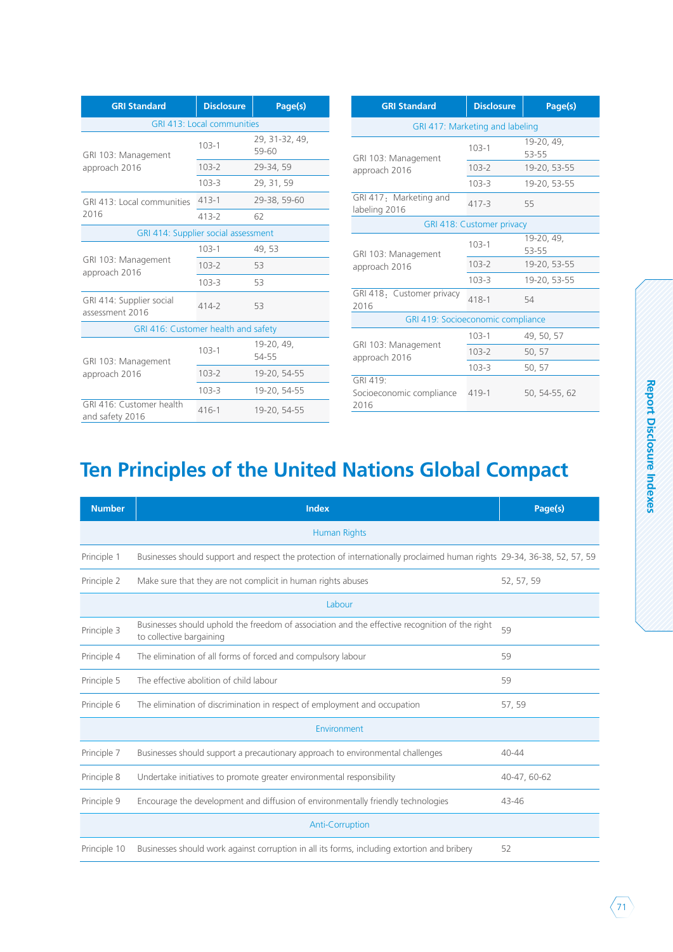| <b>GRI Standard</b>                         | <b>Disclosure</b>          | Page(s)                 | <b>GRI Standard</b>                     | <b>Disclosure</b>                | Page(s)             |  |
|---------------------------------------------|----------------------------|-------------------------|-----------------------------------------|----------------------------------|---------------------|--|
|                                             | GRI 413: Local communities |                         | GRI 417: Marketing and labeling         |                                  |                     |  |
| GRI 103: Management                         | $103 - 1$                  | 29, 31-32, 49,<br>59-60 | GRI 103: Management                     | $103 - 1$                        | 19-20, 49,<br>53-55 |  |
| approach 2016                               | $103 - 2$                  | 29-34, 59               | approach 2016                           | $103 - 2$                        | 19-20, 53-55        |  |
|                                             | $103 - 3$                  | 29, 31, 59              |                                         | $103 - 3$                        | 19-20, 53-55        |  |
| GRI 413: Local communities                  | $413 - 1$                  | 29-38, 59-60            | GRI 417: Marketing and<br>labeling 2016 | $417 - 3$                        | 55                  |  |
| 2016                                        | $413 - 2$                  | 62                      |                                         | <b>GRI 418: Customer privacy</b> |                     |  |
| GRI 414: Supplier social assessment         | $103 - 1$                  | 49,53                   |                                         | $103 - 1$                        | 19-20, 49,<br>53-55 |  |
| GRI 103: Management                         | $103 - 2$                  | 53                      | GRI 103: Management<br>approach 2016    | $103 - 2$                        | 19-20, 53-55        |  |
| approach 2016                               | $103 - 3$                  | 53                      |                                         | $103 - 3$                        | 19-20, 53-55        |  |
| GRI 414: Supplier social<br>assessment 2016 | $414 - 2$                  | 53                      | GRI 418: Customer privacy<br>2016       | $418 - 1$                        | 54                  |  |
|                                             |                            |                         | GRI 419: Socioeconomic compliance       |                                  |                     |  |
| GRI 416: Customer health and safety         |                            |                         |                                         | $103 - 1$                        | 49, 50, 57          |  |
|                                             | $103 - 1$                  | 19-20, 49,<br>54-55     | GRI 103: Management<br>approach 2016    | $103 - 2$                        | 50, 57              |  |
| GRI 103: Management<br>approach 2016        | $103 - 2$                  | 19-20, 54-55            |                                         | $103 - 3$                        | 50, 57              |  |
|                                             | $103 - 3$                  | 19-20, 54-55            | GRI 419:<br>Socioeconomic compliance    | $419-1$                          | 50, 54-55, 62       |  |
| GRI 416: Customer health<br>and safety 2016 | $416 - 1$                  | 19-20, 54-55            | 2016                                    |                                  |                     |  |

| <b>GRI Standard</b>                          | <b>Disclosure</b>                | Page(s)             |  |  |  |
|----------------------------------------------|----------------------------------|---------------------|--|--|--|
| GRI 417: Marketing and labeling              |                                  |                     |  |  |  |
| GRI 103: Management                          | $103 - 1$                        | 19-20, 49,<br>53-55 |  |  |  |
| approach 2016                                | $103 - 2$                        | 19-20, 53-55        |  |  |  |
|                                              | $103 - 3$                        | 19-20, 53-55        |  |  |  |
| GRI 417: Marketing and<br>labeling 2016      | $417 - 3$                        | 55                  |  |  |  |
|                                              | <b>GRI 418: Customer privacy</b> |                     |  |  |  |
| GRI 103: Management                          | $103 - 1$                        | 19-20, 49,<br>53-55 |  |  |  |
| approach 2016                                | $103 - 2$                        | 19-20, 53-55        |  |  |  |
|                                              | $103 - 3$                        | 19-20, 53-55        |  |  |  |
| GRI 418: Customer privacy<br>2016            | 418-1                            | 54                  |  |  |  |
| GRI 419: Socioeconomic compliance            |                                  |                     |  |  |  |
|                                              | $103 - 1$                        | 49, 50, 57          |  |  |  |
| GRI 103: Management<br>approach 2016         | $103 - 2$                        | 50, 57              |  |  |  |
|                                              | $103 - 3$                        | 50, 57              |  |  |  |
| GRI 419:<br>Socioeconomic compliance<br>2016 | $419 - 1$                        | 50, 54-55, 62       |  |  |  |

## **Ten Principles of the United Nations Global Compact**

| <b>Number</b> | <b>Index</b>                                                                                                               | Page(s)      |
|---------------|----------------------------------------------------------------------------------------------------------------------------|--------------|
|               | <b>Human Rights</b>                                                                                                        |              |
| Principle 1   | Businesses should support and respect the protection of internationally proclaimed human rights 29-34, 36-38, 52, 57, 59   |              |
| Principle 2   | Make sure that they are not complicit in human rights abuses                                                               | 52, 57, 59   |
|               | Labour                                                                                                                     |              |
| Principle 3   | Businesses should uphold the freedom of association and the effective recognition of the right<br>to collective bargaining | 59           |
| Principle 4   | The elimination of all forms of forced and compulsory labour                                                               | 59           |
| Principle 5   | The effective abolition of child labour                                                                                    | 59           |
| Principle 6   | The elimination of discrimination in respect of employment and occupation                                                  | 57,59        |
|               | Environment                                                                                                                |              |
| Principle 7   | Businesses should support a precautionary approach to environmental challenges                                             | $40 - 44$    |
| Principle 8   | Undertake initiatives to promote greater environmental responsibility                                                      | 40-47, 60-62 |
| Principle 9   | Encourage the development and diffusion of environmentally friendly technologies                                           | 43-46        |
|               | <b>Anti-Corruption</b>                                                                                                     |              |
| Principle 10  | Businesses should work against corruption in all its forms, including extortion and bribery                                | 52           |